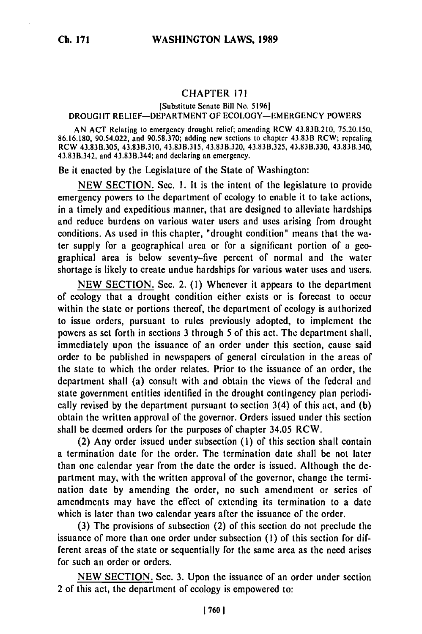## **CHAPTER 171**

[Substitute Senate Bill No. **5196]**

## DROUGHT RELIEF-DEPARTMENT OF ECOLOGY-EMERGENCY POWERS

AN **ACT** Relating to emergency drought relief; amending RCW 43.83B.210, **75.20.150, 86.16.180,** 90.54.022, and 90.58.370; adding new sections to chapter 43.83B RCW; repealing RCW **43.83B.305,** 43.83B.310, **43.83B.315,** 43.83B.320, **43.83B.325, 43.83B.330,** 43.83B.340, 43.83B.342, and 43.83B.344; and declaring an emergency.

Be it enacted **by** the Legislature of the State **of** Washington:

**NEW** SECTION. Sec. 1. It is the intent **of** the legislature to provide emergency powers to the department **of** ecology to enable it to take actions, in a timely and expeditious manner, that are designed to alleviate hardships and reduce burdens on various water users and uses arising from drought conditions. As used in this chapter, "drought condition" means that the water supply for a geographical area or **for** a significant portion **of** a geographical area is below seventy-five percent **of** normal and the water shortage is likely to create undue hardships **for** various water uses and users.

**NEW** SECTION. Sec. 2. **(1)** Whenever it appears to the department **of** ecology that a drought condition either exists or is forecast to occur within the state or portions thereof, the department **of** ecology is authorized to issue orders, pursuant to rules previously adopted, to implement the powers as set forth in sections **3** through **5** of this act. The department shall, immediately upon the issuance of an order under this section, cause said order to **be** published in newspapers of general circulation in the areas **of** the state to which the order relates. Prior to the issuance of an order, the department shall (a) consult with and obtain the views **of** the federal and state government entities identified in the drought contingency plan periodically revised **by** the department pursuant to section 3(4) of this act, and **(b)** obtain the written approval of the governor. Orders issued under this section shall be deemed orders **for** the purposes **of** chapter 34.05 RCW.

(2) Any order issued under subsection **(1)** of this section shall contain a termination date for the order. The termination date shall be not later than one calendar year from the date the order is issued. Although the **de**partment may, with the written approval of the governor, change the termination date **by** amending the order, no such amendment or series **of** amendments may have the effect **of** extending its termination to a date which is later than two calendar years after the issuance of the order.

**(3)** The provisions of subsection (2) **of** this section do not preclude the issuance **of** more than one order under subsection **(1)** of this section for different areas of the state or sequentially **for** the same area as the need arises for such an order or orders.

**NEW SECTION.** Sec. **3.** Upon the issuance of an order under section 2 **of** this act, the department of ecology is empowered to: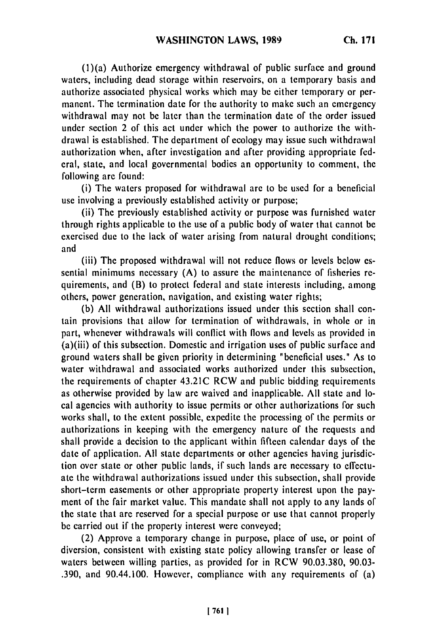(l)(a) Authorize emergency withdrawal of public surface and ground waters, including dead storage within reservoirs, on a temporary basis and authorize associated physical works which may be either temporary or permanent. The termination date for the authority to make such an emergency withdrawal may not be later than the termination date of the order issued under section 2 of this act under which the power to authorize the withdrawal is established. The department of ecology may issue such withdrawal authorization when, after investigation and after providing appropriate federal, state, and local governmental bodies an opportunity to comment, the following are found:

(i) The waters proposed for withdrawal are to be used for a beneficial use involving a previously established activity or purpose;

(ii) The previously established activity or purpose was furnished water through rights applicable to the use of a public body of water that cannot be exercised due to the lack of water arising from natural drought conditions; and

(iii) The proposed withdrawal will not reduce flows or levels below essential minimums necessary (A) to assure the maintenance of fisheries requirements, and (B) to protect federal and state interests including, among others, power generation, navigation, and existing water rights;

(b) All withdrawal authorizations issued under this section shall contain provisions that allow for termination of withdrawals, in whole or in part, whenever withdrawals will conflict with flows and levels as provided in (a)(iii) of this subsection. Domestic and irrigation uses of public surface and ground waters shall be given priority in determining "beneficial uses." As to water withdrawal and associated works authorized under this subsection, the requirements of chapter 43.21C RCW and public bidding requirements as otherwise provided by law are waived and inapplicable. All state and local agencies with authority to issue permits or other authorizations for such works shall, to the extent possible, expedite the processing of the permits or authorizations in keeping with the emergency nature of the requests and shall provide a decision to the applicant within fifteen calendar days of the date of application. All state departments or other agencies having jurisdiction over state or other public lands, if such lands are necessary to effectuate the withdrawal authorizations issued under this subsection, shall provide short-term easements or other appropriate property interest upon the payment of the fair market value. This mandate shall not apply to any lands of the state that are reserved for a special purpose or use that cannot properly be carried out if the property interest were conveyed;

(2) Approve a temporary change in purpose, place of use, or point of diversion, consistent with existing state policy allowing transfer or lease of waters between willing parties, as provided for in RCW 90.03.380, 90.03- .390, and 90.44.100. However, compliance with any requirements of (a)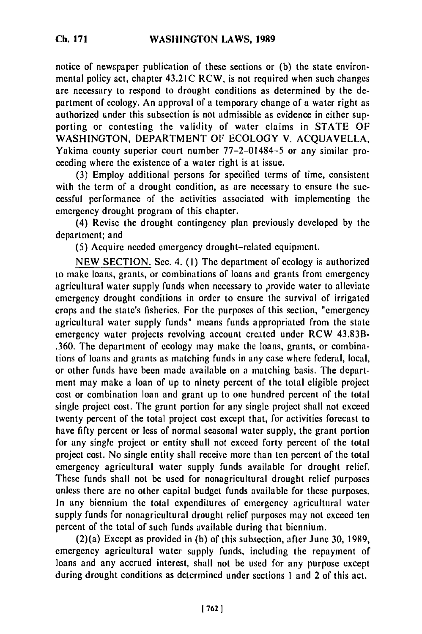notice of newspaper publication of these sections or **(b)** the state environmental policy act, chapter 43.21C RCW, is not required when such changes are necessary to respond to drought conditions as determined by the department of ecology. An approval of a temporary change of a water right as authorized under this subsection is not admissible as evidence in either supporting or contesting the validity of water claims in STATE OF WASHINGTON, DEPARTMENT OF ECOLOGY V. ACQUAVELLA, Yakima county superior court number 77-2-01484-5 or any similar proceeding where the existence of a water right is at issue.

(3) Employ additional persons for specified terms of time, consistent with the term of a drought condition, as are necessary to ensure the successful performance **of** the activities associated with implementing the emergency drought program of this chapter.

(4) Revise the drought contingency plan previously developed by the department; and

(5) Acquire needed emergency drought-related equipment.

NEW SECTION. Sec. 4. **(1)** The department of ecology is authorized to make loans, grants, or combinations of loans and grants from emergency agricultural water supply funds when necessary to provide water to alleviate emergency drought conditions in order to ensure the survival of irrigated crops and the state's fisheries. For the purposes of this section, "emergency agricultural water supply funds" means funds appropriated from the state emergency water projects revolving account created under RCW 43.83B- .360. The department of ecology may make the loans, grants, or combinations of loans and grants as matching funds in any case where federal, local, or other funds have been made available on a matching basis. The department may make a loan of up to ninety percent of the total eligible project cost or combination loan and grant up to one hundred percent of the total single project cost. The grant portion for any single project shall not exceed twenty percent of the total project cost except that, for activities forecast to have fifty percent or less of normal seasonal water supply, the grant portion for any single project or entity shall not exceed forty percent of the total project cost. No single entity shall receive more than ten percent of the total emergency agricultural water supply funds available for drought relief. These funds shall not be used for nonagricultural drought relief purposes unless there are no other capital budget funds available for these purposes. In any biennium the total expenditures of emergency agricultural water supply funds for nonagricultural drought relief purposes may not exceed ten percent of the total of such funds available during that biennium.

(2)(a) Except as provided in (b) of this subsection, after June 30, 1989, emergency agricultural water supply funds, including the repayment of loans and any accrued interest, shall not be used for any purpose except during drought conditions as determined under sections **I** and 2 of this act.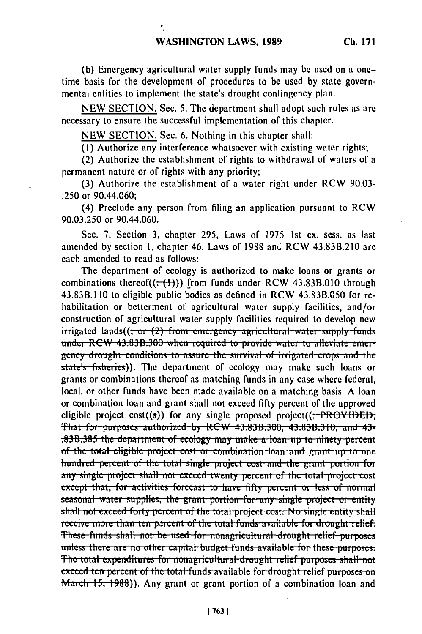(b) Emergency agricultural water supply funds may be used on a onetime basis for the development of procedures to be used by state governmental entities to implement the state's drought contingency plan.

NEW SECTION. Sec. 5. The department shall adopt such rules as are necessary to ensure the successful implementation of this chapter.

NEW SECTION. Sec. 6. Nothing in this chapter shall:

 $\overline{\mathcal{F}}_1$ 

 $(1)$  Authorize any interference whatsoever with existing water rights;

(2) Authorize the establishment of rights to withdrawal of waters of a permanent nature or of rights with any priority;

(3) Authorize the establishment of a water right under RCW 90.03-.250 or 90.44.060;

(4) Preclude any person from filing an application pursuant to RCW 90.03.250 or 90.44.060.

Sec. 7. Section 3, chapter 295, Laws of 1975 1st ex. sess. as last amended by section 1, chapter 46, Laws of 1988 and RCW 43.83B.210 are each amended to read as follows:

The department of ecology is authorized to make loans or grants or combinations thereof( $(\div$ ( $\leftrightarrow$ ))) from funds under RCW 43.83B.010 through 43.83B.110 to eligible public bodies as defined in RCW 43.83B.050 for rehabilitation or betterment of agricultural water supply facilities, and/or construction of agricultural water supply facilities required to develop new irrigated lands $((\frac{1}{2})$  from emergency agricultural water supply funds under RCW 43.83B.300 when required to provide water to alleviate emergency drought conditions to assure the survival of irrigated crops and the state's fisheries)). The department of ecology may make such loans or grants or combinations thereof as matching funds in any case where federal, local, or other funds have been made available on a matching basis. A loan or combination loan and grant shall not exceed fifty percent of the approved eligible project cost((s)) for any single proposed project( $($ :-PROVIDED; That for purposes authorized by RCW 43.83B.300, 43.83B.310, and 43-:83B:385 the department of ecology may make a loan up to ninety percent of the total eligible project cost or combination loan and grant up to one hundred percent of the total single project cost and the grant portion for any single project shall not exceed twenty percent of the total project cost except that, for activities forecast to have fifty percent or less of normal seasonal water supplies, the grant portion for any single project or entity shall not exceed forty percent of the total project cost. No single entity shall receive more than ten percent of the total funds available for drought relief. These funds shall not be used for nonagricultural drought relief purposes unless there are no other capital budget funds available for these purposes. The total expenditures for nonagricultural drought relief purposes shall not exceed ten percent of the total funds available for drought relief purposes on March-15, 1988). Any grant or grant portion of a combination loan and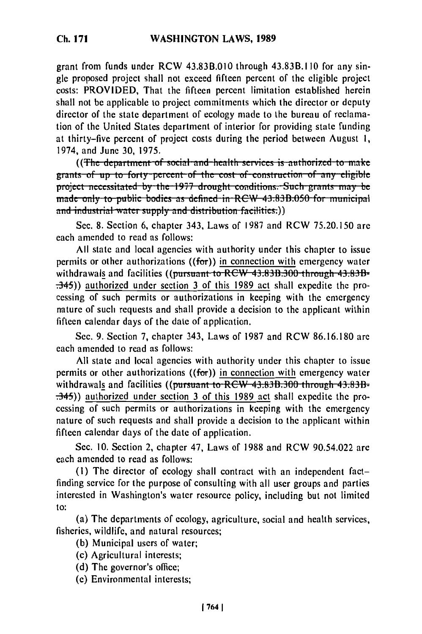grant from funds under RCW 43.83B.010 through 43.83B.110 for any single proposed project shall not exceed fifteen percent of the eligible project costs: PROVIDED, That the fifteen percent limitation established herein shall not be applicable to project commitments which the director or deputy director of the state department of ecology made to the bureau of reclamation of the United States department of interior for providing state funding at thirty-five percent of project costs during the period between August 1, 1974, and June 30, 1975.

((The department of social and health services is authorized to make grants of up to forty percent of the cost of construction of any eligible project necessitated by the 1977 drought conditions. Such grants may be made only to public bodies as defined in RCW 43.83B.050 for municipal and industrial water supply and distribution facilities:))

Sec. 8. Section 6, chapter 343, Laws of 1987 and RCW 75.20.150 are each amended to read as follows:

All state and local agencies with authority under this chapter to issue permits or other authorizations ( $(for)$ ) in connection with emergency water withdrawals and facilities ((pursuant to RCW 43.83B.300 through 43.83B- $\left(\frac{145}{10}\right)$  authorized under section 3 of this 1989 act shall expedite the processing of such permits or authorizations in keeping with the emergency nature of such requests and shall provide a decision to the applicant within fifteen calendar days of the date of application.

Sec. 9. Section 7, chapter 343, Laws of 1987 and RCW 86.16.180 are each amended to read as follows:

All state and local agencies with authority under this chapter to issue permits or other authorizations  $((for))$  in connection with emergency water withdrawals and facilities ((pursuant to RCW 43.83B.300 through 43.83B- $\left(\frac{145}{10}\right)$  authorized under section 3 of this 1989 act shall expedite the processing of such permits or authorizations in keeping with the emergency nature of such requests and shall provide a decision to the applicant within fifteen calendar days of the date of application.

Sec. 10. Section 2, chapter 47, Laws of 1988 and RCW 90.54.022 are each amended to read as follows:

(1) The director of ecology shall contract with an independent factfinding service for the purpose of consulting with all user groups and parties interested in Washington's water resource policy, including but not limited to:

(a) The departments of ecology, agriculture, social and health services, fisheries, wildlife, and natural resources;

- (b) Municipal users of water;
- (c) Agricultural interests;
- (d) The governor's office;
- (e) Environmental interests;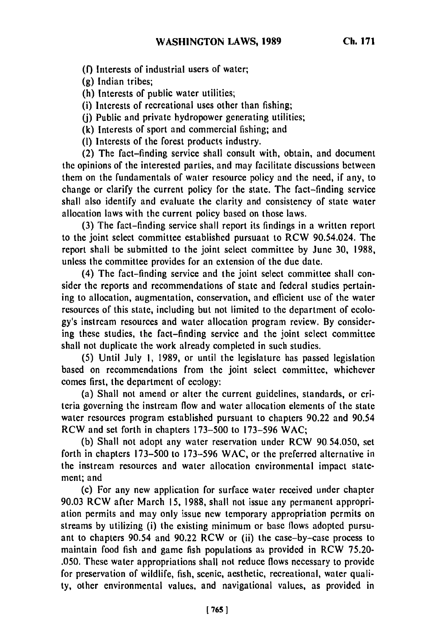**(f)** Interests of industrial users of water;

**(g)** Indian tribes;

**(h)** Interests of public water utilities;

(i) Interests of recreational uses other than fishing;

**0)** Public and private hydropower generating utilities;

(k) Interests of sport and commercial fishing; and

**(1)** Interests of the forest products industry.

(2) The fact-finding service shall consult with, obtain, and document the opinions of the interested parties, and may facilitate discussions between them on the fundamentals of water resource policy and the need, if any, to change or clarify the current policy for the state. The fact-finding service shall also identify and evaluate the clarity and consistency of state water allocation laws with the current policy based on those laws.

(3) The fact-finding service shall report its findings in a written report to the joint select committee established pursuant to RCW 90.54.024. The report shall be submitted to the joint select committee by June 30, 1988, unless the committee provides for an extension of the due date.

(4) The fact-finding service and the joint select committee shall consider the reports and recommendations of state and federal studies pertaining to allocation, augmentation, conservation, and efficient use of the water resources of this state, including but not limited to the department of ecology's instream resources and water allocation program review. By considering these studies, the fact-finding service and the joint select committee shall not duplicate the work already completed in such studies.

(5) Until July **1,** 1989, or until the legislature has passed legislation based on recommendations from the joint select committee, whichever comes first, the department of ecology:

(a) Shall not amend or alter the current guidelines, standards, or criteria governing the instream flow and water allocation elements of the state water resources program established pursuant to chapters 90.22 and 90.54 RCW and set forth in chapters 173-500 to 173-596 WAC;

(b) Shall not adopt any water reservation under RCW 90.54.050, set forth in chapters 173-500 to 173-596 WAC, or the preferred alternative in the instream resources and water allocation environmental impact statemcnt; and

(c) For any new application for surface water received under chapter 90.03 RCW after March 15, 1988, shall not issue any permanent appropriation permits and may only issue new temporary appropriation permits on streams by utilizing (i) the existing minimum or base flows adopted pursuant to chapters 90.54 and 90.22 RCW or (ii) the case-by-case process to maintain food fish and game fish populations as provided in RCW 75.20-.050. These water appropriations shall not reduce flows necessary to provide for preservation of wildlife, fish, scenic, aesthetic, recreational, water quality, other environmental values, and navigational values, as provided in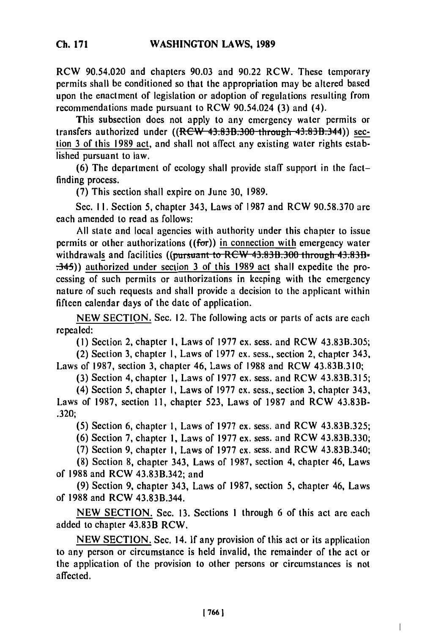RCW 90.54.020 and chapters 90.03 and 90.22 RCW. These temporary permits shall be conditioned so that the appropriation may be altered based upon the enactment of legislation or adoption of regulations resulting from recommendations made pursuant to RCW 90.54.024 (3) and (4).

This subsection does not apply to any emergency water permits or transfers authorized under  $((RCW 43.83B.300-throught 43.83B.344))$  section 3 of this 1989 act, and shall not affect any existing water rights established pursuant to law.

(6) The department of ecology shall provide staff support in the factfinding process.

(7) This section shall expire on June 30, 1989.

Sec. II. Section 5, chapter 343, Laws of 1987 and RCW 90.58.370 are each amended to read as follows:

All state and local agencies with authority under this chapter to issue permits or other authorizations  $((for))$  in connection with emergency water withdrawals and facilities ((pursuant to RCW 43.83B.300 through 43.83B-.345)) authorized under section 3 of this 1989 act shall expedite the processing of such permits or authorizations in keeping with the emergency nature of such requests and shall provide a decision to the applicant within fifteen calendar days of the date of application.

NEW SECTION. Sec. 12. The following acts or parts of acts are each repealed:

(1) Section 2, chapter **1,** Laws of 1977 ex. sess. and RCW 43.83B.305;

(2) Section 3, chapter I, Laws of 1977 ex. sess., section 2, chapter 343, Laws of 1987, section 3, chapter 46, Laws of 1988 and RCW 43.83B.310;

(3) Section 4, chapter **1,** Laws of 1977 ex. sess. and RCW 43.83B.315;

(4) Section 5, chapter I, Laws of 1977 ex. sess., section 3, chapter 343, Laws of 1987, section 11, chapter 523, Laws of 1987 and RCW 43.83B- .320;

(5) Section 6, chapter **1,** Laws of 1977 ex. sess. and RCW 43.83B.325;

(6) Section 7, chapter **1,** Laws of 1977 ex. sess. and RCW 43.83B.330;

(7) Section 9, chapter I, Laws of 1977 ex. sess. and RCW 43.83B.340;

(8) Section 8, chapter 343, Laws of 1987, section 4, chapter 46, Laws of 1988 and RCW 43.83B.342; and

(9) Section 9, chapter 343, Laws of 1987, section 5, chapter 46, Laws of 1988 and RCW 43.83B.344.

NEW SECTION. Sec. 13. Sections 1 through 6 of this act are each added to chapter 43.83B RCW.

NEW SECTION. Sec. 14. If any provision of this act or its application to any person or circumstance is held invalid, the remainder of the act or the application of the provision to other persons or circumstances is not affected.

 $\overline{1}$